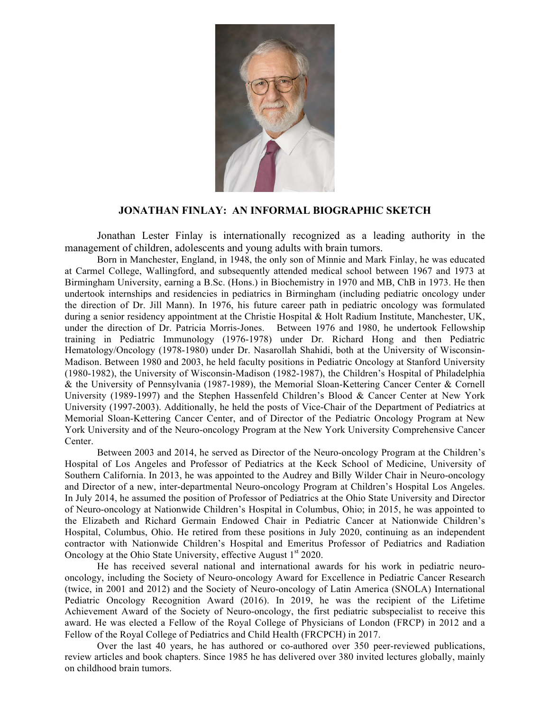

## **JONATHAN FINLAY: AN INFORMAL BIOGRAPHIC SKETCH**

Jonathan Lester Finlay is internationally recognized as a leading authority in the management of children, adolescents and young adults with brain tumors.

Born in Manchester, England, in 1948, the only son of Minnie and Mark Finlay, he was educated at Carmel College, Wallingford, and subsequently attended medical school between 1967 and 1973 at Birmingham University, earning a B.Sc. (Hons.) in Biochemistry in 1970 and MB, ChB in 1973. He then undertook internships and residencies in pediatrics in Birmingham (including pediatric oncology under the direction of Dr. Jill Mann). In 1976, his future career path in pediatric oncology was formulated during a senior residency appointment at the Christie Hospital & Holt Radium Institute, Manchester, UK, under the direction of Dr. Patricia Morris-Jones. Between 1976 and 1980, he undertook Fellowship training in Pediatric Immunology (1976-1978) under Dr. Richard Hong and then Pediatric Hematology/Oncology (1978-1980) under Dr. Nasarollah Shahidi, both at the University of Wisconsin-Madison. Between 1980 and 2003, he held faculty positions in Pediatric Oncology at Stanford University (1980-1982), the University of Wisconsin-Madison (1982-1987), the Children's Hospital of Philadelphia & the University of Pennsylvania (1987-1989), the Memorial Sloan-Kettering Cancer Center & Cornell University (1989-1997) and the Stephen Hassenfeld Children's Blood & Cancer Center at New York University (1997-2003). Additionally, he held the posts of Vice-Chair of the Department of Pediatrics at Memorial Sloan-Kettering Cancer Center, and of Director of the Pediatric Oncology Program at New York University and of the Neuro-oncology Program at the New York University Comprehensive Cancer Center.

Between 2003 and 2014, he served as Director of the Neuro-oncology Program at the Children's Hospital of Los Angeles and Professor of Pediatrics at the Keck School of Medicine, University of Southern California. In 2013, he was appointed to the Audrey and Billy Wilder Chair in Neuro-oncology and Director of a new, inter-departmental Neuro-oncology Program at Children's Hospital Los Angeles. In July 2014, he assumed the position of Professor of Pediatrics at the Ohio State University and Director of Neuro-oncology at Nationwide Children's Hospital in Columbus, Ohio; in 2015, he was appointed to the Elizabeth and Richard Germain Endowed Chair in Pediatric Cancer at Nationwide Children's Hospital, Columbus, Ohio. He retired from these positions in July 2020, continuing as an independent contractor with Nationwide Children's Hospital and Emeritus Professor of Pediatrics and Radiation Oncology at the Ohio State University, effective August  $1<sup>st</sup> 2020$ .

He has received several national and international awards for his work in pediatric neurooncology, including the Society of Neuro-oncology Award for Excellence in Pediatric Cancer Research (twice, in 2001 and 2012) and the Society of Neuro-oncology of Latin America (SNOLA) International Pediatric Oncology Recognition Award (2016). In 2019, he was the recipient of the Lifetime Achievement Award of the Society of Neuro-oncology, the first pediatric subspecialist to receive this award. He was elected a Fellow of the Royal College of Physicians of London (FRCP) in 2012 and a Fellow of the Royal College of Pediatrics and Child Health (FRCPCH) in 2017.

Over the last 40 years, he has authored or co-authored over 350 peer-reviewed publications, review articles and book chapters. Since 1985 he has delivered over 380 invited lectures globally, mainly on childhood brain tumors.